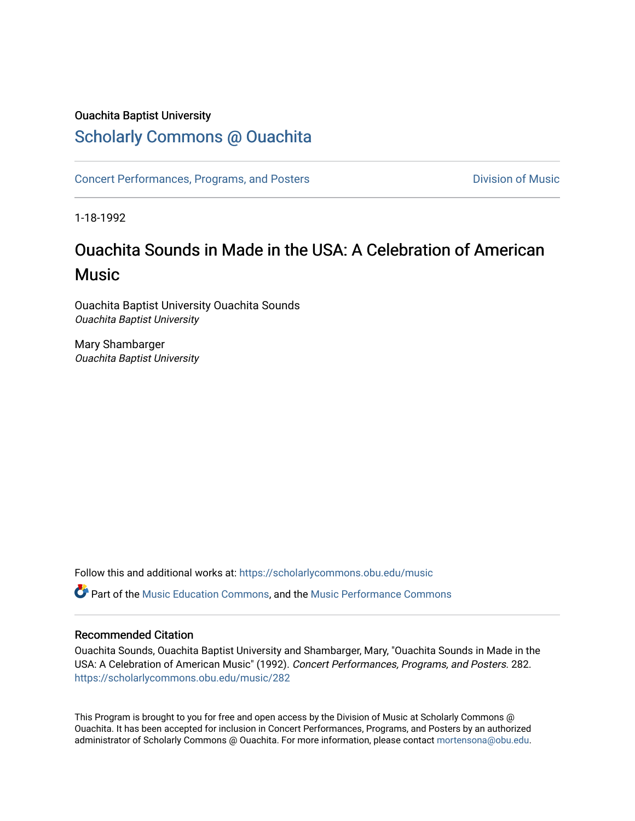## Ouachita Baptist University

# [Scholarly Commons @ Ouachita](https://scholarlycommons.obu.edu/)

[Concert Performances, Programs, and Posters](https://scholarlycommons.obu.edu/music) **Division of Music** Division of Music

1-18-1992

# Ouachita Sounds in Made in the USA: A Celebration of American **Music**

Ouachita Baptist University Ouachita Sounds Ouachita Baptist University

Mary Shambarger Ouachita Baptist University

Follow this and additional works at: [https://scholarlycommons.obu.edu/music](https://scholarlycommons.obu.edu/music?utm_source=scholarlycommons.obu.edu%2Fmusic%2F282&utm_medium=PDF&utm_campaign=PDFCoverPages) 

**C** Part of the [Music Education Commons,](http://network.bepress.com/hgg/discipline/1246?utm_source=scholarlycommons.obu.edu%2Fmusic%2F282&utm_medium=PDF&utm_campaign=PDFCoverPages) and the Music Performance Commons

#### Recommended Citation

Ouachita Sounds, Ouachita Baptist University and Shambarger, Mary, "Ouachita Sounds in Made in the USA: A Celebration of American Music" (1992). Concert Performances, Programs, and Posters. 282. [https://scholarlycommons.obu.edu/music/282](https://scholarlycommons.obu.edu/music/282?utm_source=scholarlycommons.obu.edu%2Fmusic%2F282&utm_medium=PDF&utm_campaign=PDFCoverPages) 

This Program is brought to you for free and open access by the Division of Music at Scholarly Commons @ Ouachita. It has been accepted for inclusion in Concert Performances, Programs, and Posters by an authorized administrator of Scholarly Commons @ Ouachita. For more information, please contact [mortensona@obu.edu](mailto:mortensona@obu.edu).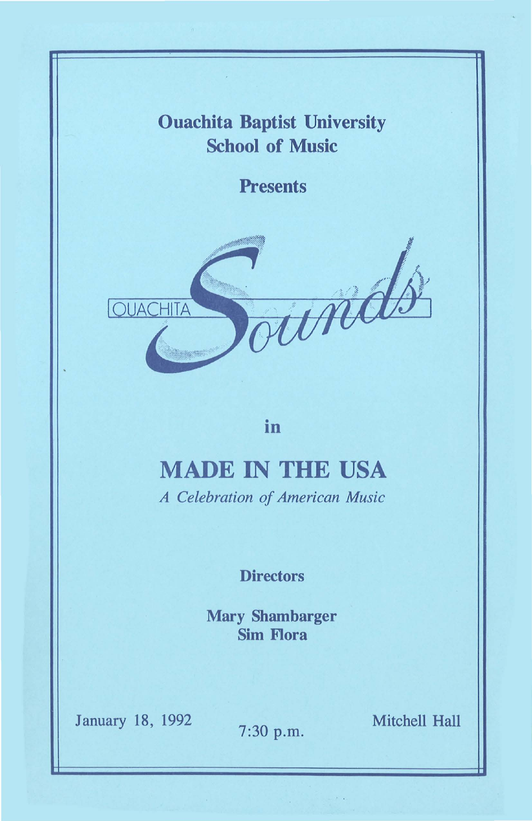# Ouachita Baptist University School of Music

**Presents** 



in

# MADE IN THE USA

*A Celebration of American Music* 

### **Directors**

Mary Shambarger Sim Flora

January 18, 1992

7:30 p.m. Mitchell Hall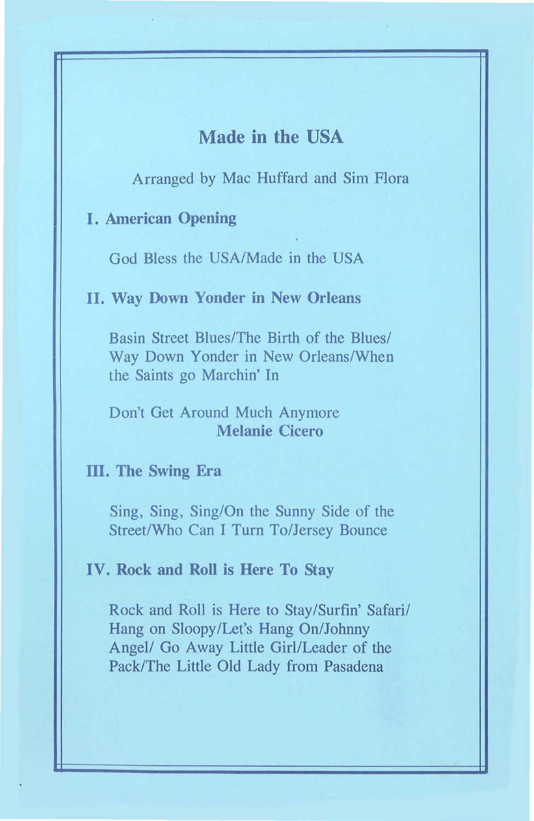## **Made in the USA**

Arranged by Mac Huffard and Sim Flora

#### **I. American Opening**

God Bless the USA/Made in the USA

#### **II. Way Down Yonder in New Orleans**

Basin Street Blues/The Birth of the Blues/ Way Down Yonder in New Orleans/When the Saints go Marchin' In

#### Don't Get Around Much Anymore **Melanie Cicero**

#### **ill. The Swing Era**

Sing, Sing, Sing/On the Sunny Side of the Street/Who Can I Turn To/Jersey Bounce

#### **IV. Rock and Roll is Here To Stay**

Rock and Roll is Here to Stay/Surfin' Safari/ Hang on Sloopy/Let's Hang On/Johnny Angel/ Go Away Little Girl/Leader of the Pack/The Little Old Lady from Pasadena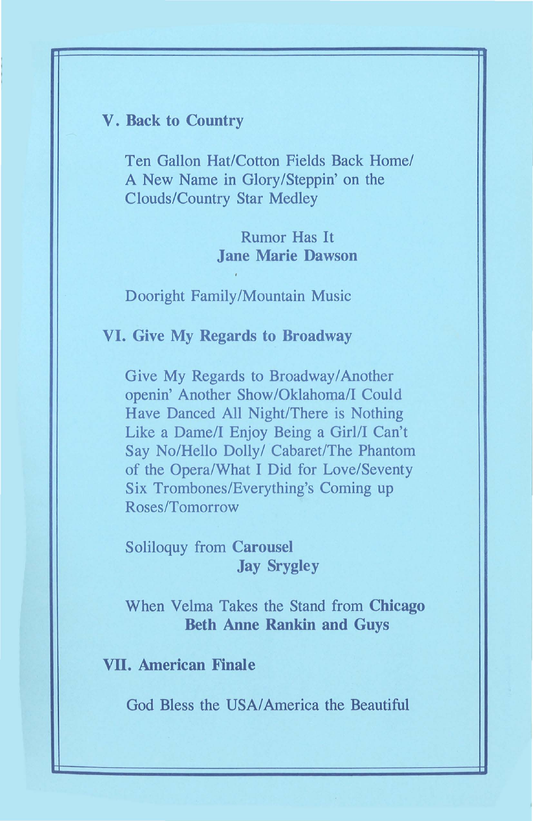#### V. Back to Country

Ten Gallon Hat/Cotton Fields Back Home/ A New Name in Glory/Steppin' on the Clouds/Country Star Medley

> Rumor Has It Jane Marie Dawson

Dooright Family/Mountain Music

VI. Give My Regards to Broadway

Give My Regards to Broadway/Another openin' Another Show /Oklahoma/1 Could Have Danced All Night/There is Nothing Like a Dame/I Enjoy Being a Girl/I Can't Say No/Hello Dolly/ Cabaret/The Phantom of the Opera/What I Did for Love/Seventy Six Trombones/Everything's Coming up Roses/Tomorrow

Soliloquy from Carousel Jay Srygley

When Velma Takes the Stand from Chicago Beth Anne Rankin and Guys

VII. American Finale

God Bless the USA/ America the Beautiful